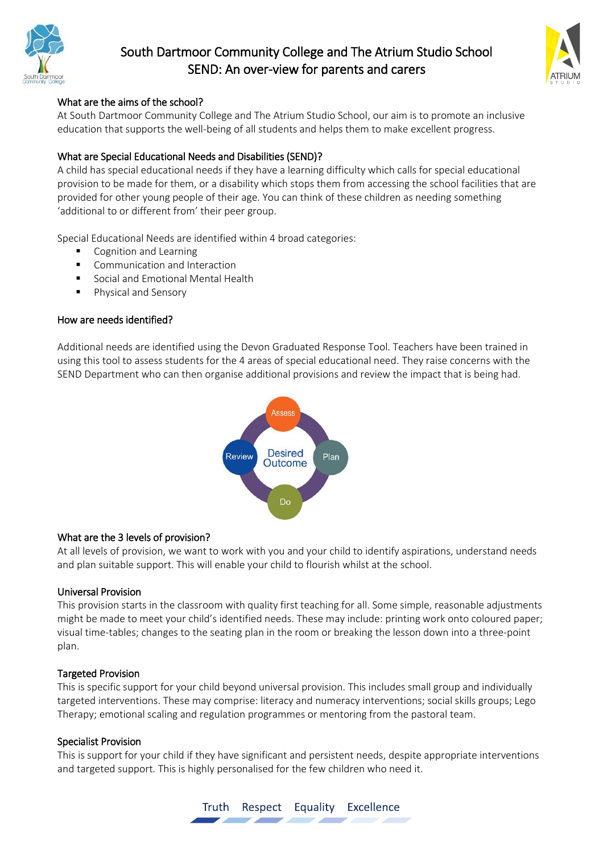

# South Dartmoor Community College and The Atrium Studio School SEND: An over-view for parents and carers



# What are the aims of the school?

At South Dartmoor Community College and The Atrium Studio School, our aim is to promote an inclusive education that supports the well-being of all students and helps them to make excellent progress.

## What are Special Educational Needs and Disabilities (SEND)?

A child has special educational needs if they have a learning difficulty which calls for special educational provision to be made for them, or a disability which stops them from accessing the school facilities that are provided for other young people of their age. You can think of these children as needing something 'additional to or different from' their peer group.

Special Educational Needs are identified within 4 broad categories:

- Cognition and Learning
- **E** Communication and Interaction
- Social and Emotional Mental Health
- **Physical and Sensory**

### How are needs identified?

Additional needs are identified using the Devon Graduated Response Tool. Teachers have been trained in using this tool to assess students for the 4 areas of special educational need. They raise concerns with the SEND Department who can then organise additional provisions and review the impact that is being had.



## What are the 3 levels of provision?

At all levels of provision, we want to work with you and your child to identify aspirations, understand needs and plan suitable support. This will enable your child to flourish whilst at the school.

#### Universal Provision

This provision starts in the classroom with quality first teaching for all. Some simple, reasonable adjustments might be made to meet your child's identified needs. These may include: printing work onto coloured paper; visual time-tables; changes to the seating plan in the room or breaking the lesson down into a three-point plan.

#### Targeted Provision

This is specific support for your child beyond universal provision. This includes small group and individually targeted interventions. These may comprise: literacy and numeracy interventions; social skills groups; Lego Therapy; emotional scaling and regulation programmes or mentoring from the pastoral team.

#### Specialist Provision

This is support for your child if they have significant and persistent needs, despite appropriate interventions and targeted support. This is highly personalised for the few children who need it.